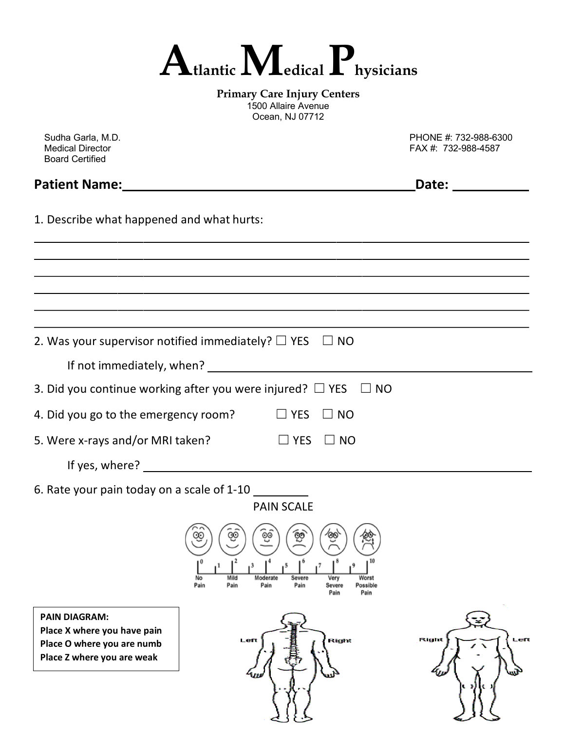

**Primary Care Injury Centers** 1500 Allaire Avenue Ocean, NJ 07712

| Sudha Garla, M.D.<br><b>Medical Director</b><br><b>Board Certified</b>                                                                                       | PHONE #: 732-988-6300<br>FAX #: 732-988-4587                                                                                                                                                                                   |
|--------------------------------------------------------------------------------------------------------------------------------------------------------------|--------------------------------------------------------------------------------------------------------------------------------------------------------------------------------------------------------------------------------|
| <b>Patient Name:</b><br><u> 1980 - Jan Samuel Barbara, martin da shekara 1980 - An tsara 1980 - An tsara 1980 - An tsara 1980 - An tsara</u>                 | Date: the contract of the contract of the contract of the contract of the contract of the contract of the contract of the contract of the contract of the contract of the contract of the contract of the contract of the cont |
| 1. Describe what happened and what hurts:                                                                                                                    |                                                                                                                                                                                                                                |
|                                                                                                                                                              |                                                                                                                                                                                                                                |
|                                                                                                                                                              |                                                                                                                                                                                                                                |
| 2. Was your supervisor notified immediately? $\Box$ YES $\Box$ NO                                                                                            |                                                                                                                                                                                                                                |
|                                                                                                                                                              |                                                                                                                                                                                                                                |
| 3. Did you continue working after you were injured? $\Box$ YES<br>$\Box$ NO                                                                                  |                                                                                                                                                                                                                                |
| 4. Did you go to the emergency room? $\Box$ YES<br>$\Box$ NO                                                                                                 |                                                                                                                                                                                                                                |
| 5. Were x-rays and/or MRI taken?<br>$\Box$ YES<br>$\Box$ NO                                                                                                  |                                                                                                                                                                                                                                |
|                                                                                                                                                              |                                                                                                                                                                                                                                |
| 6. Rate your pain today on a scale of 1-10<br><b>PAIN SCALE</b>                                                                                              |                                                                                                                                                                                                                                |
| 6ଚି<br>ිම<br>$\infty$<br>∞<br>′00<br>Moderate<br>Worst<br>Mild<br>Severe<br>Very<br>No<br>Pain<br>Pain<br>Pain<br>Pain<br>Severe<br>Possible<br>Pain<br>Pain |                                                                                                                                                                                                                                |
| <b>PAIN DIAGRAM:</b><br>Place X where you have pain<br>Right<br>Left<br>Place O where you are numb<br>Place Z where you are weak                             | Left<br>Right                                                                                                                                                                                                                  |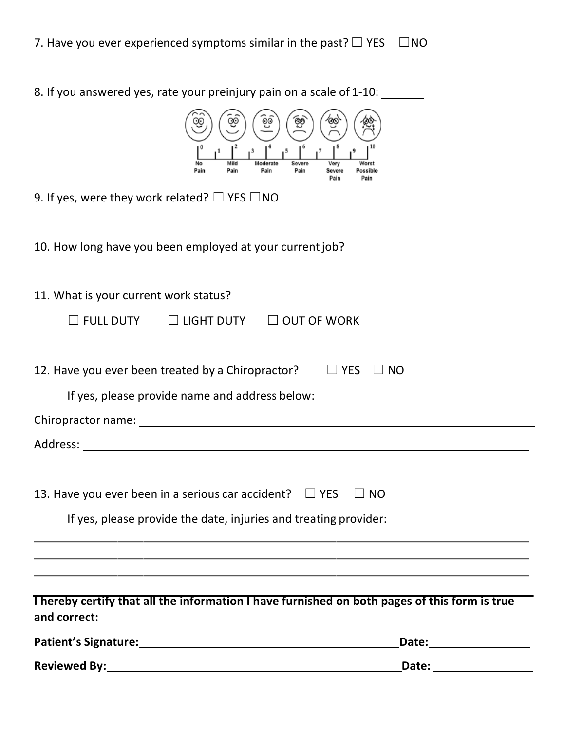| Reviewed By: New York Change and Change and Change and Change and Change and Change and Change and Change and Change and Change and Change and Change and Change and Change and Change and Change and Change and Change and Ch |                                                             |
|--------------------------------------------------------------------------------------------------------------------------------------------------------------------------------------------------------------------------------|-------------------------------------------------------------|
|                                                                                                                                                                                                                                | Date:___________________                                    |
| I hereby certify that all the information I have furnished on both pages of this form is true<br>and correct:                                                                                                                  |                                                             |
|                                                                                                                                                                                                                                |                                                             |
|                                                                                                                                                                                                                                |                                                             |
| If yes, please provide the date, injuries and treating provider:                                                                                                                                                               |                                                             |
| 13. Have you ever been in a serious car accident?                                                                                                                                                                              | $\Box$ YES<br><b>NO</b>                                     |
|                                                                                                                                                                                                                                |                                                             |
|                                                                                                                                                                                                                                |                                                             |
| If yes, please provide name and address below:                                                                                                                                                                                 |                                                             |
| 12. Have you ever been treated by a Chiropractor?                                                                                                                                                                              | $\Box$ YES<br>$\Box$ NO                                     |
| $\Box$ LIGHT DUTY $\Box$ OUT OF WORK<br>$\square$ FULL DUTY                                                                                                                                                                    |                                                             |
| 11. What is your current work status?                                                                                                                                                                                          |                                                             |
| 10. How long have you been employed at your current job? _______________________                                                                                                                                               |                                                             |
| 9. If yes, were they work related? $\Box$ YES $\Box$ NO                                                                                                                                                                        |                                                             |
| $1^3$<br>Mild<br>Moderate<br>Severe<br>Pain<br>Pain<br>Pain                                                                                                                                                                    | Very<br>Worst<br>Pain<br>Possible<br>Severe<br>Pain<br>Pain |
| 8. If you answered yes, rate your preinjury pain on a scale of 1-10:                                                                                                                                                           |                                                             |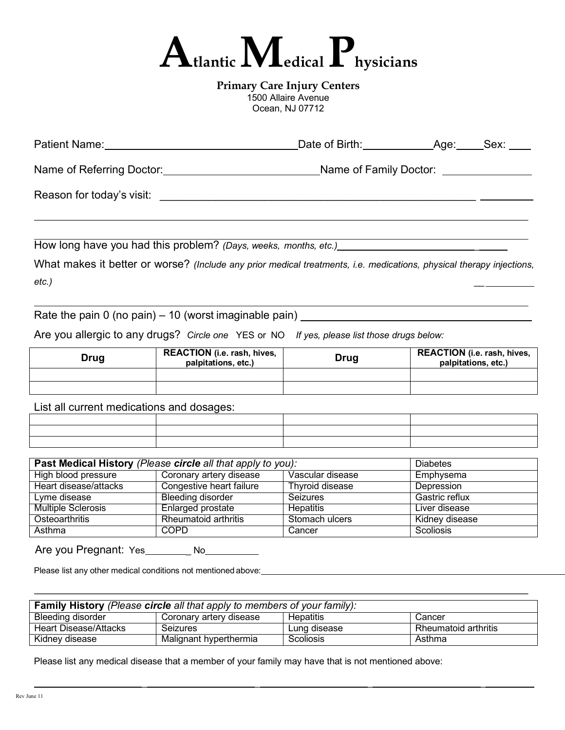

**Primary Care Injury Centers** 1500 Allaire Avenue Ocean, NJ 07712

| <b>Patient Name:</b>      | Date of Birth:         | Age: | Sex: |
|---------------------------|------------------------|------|------|
| Name of Referring Doctor: | Name of Family Doctor: |      |      |
| Reason for today's visit: |                        |      |      |
|                           |                        |      |      |

How long have you had this problem? *(Days, weeks, months, etc.)* \_

What makes it better or worse? *(Include any prior medical treatments, i.e. medications, physical therapy injections, etc.) \_\_*

Rate the pain 0 (no pain) – 10 (worst imaginable pain) \_\_\_\_\_\_\_\_\_\_\_\_\_\_\_\_\_\_\_\_\_\_\_\_\_

Are you allergic to any drugs? *Circle one* YES or NO *If yes, please list those drugs below:*

| Drug | <b>REACTION</b> (i.e. rash, hives,<br>palpitations, etc.) | Drug | <b>REACTION</b> (i.e. rash, hives,<br>palpitations, etc.) |
|------|-----------------------------------------------------------|------|-----------------------------------------------------------|
|      |                                                           |      |                                                           |
|      |                                                           |      |                                                           |

List all current medications and dosages:

| Past Medical History (Please circle all that apply to you): |                          |                  | <b>Diabetes</b>  |
|-------------------------------------------------------------|--------------------------|------------------|------------------|
| High blood pressure                                         | Coronary artery disease  | Vascular disease | Emphysema        |
| Heart disease/attacks                                       | Congestive heart failure | Thyroid disease  | Depression       |
| Lyme disease                                                | Bleeding disorder        | <b>Seizures</b>  | Gastric reflux   |
| <b>Multiple Sclerosis</b>                                   | Enlarged prostate        | <b>Hepatitis</b> | Liver disease    |
| Osteoarthritis                                              | Rheumatoid arthritis     | Stomach ulcers   | Kidney disease   |
| Asthma                                                      | <b>COPD</b>              | Cancer           | <b>Scoliosis</b> |

Are you Pregnant: Yes \_\_\_\_\_\_\_\_ No\_\_\_\_\_\_\_\_\_

Please list any other medical conditions not mentioned above:

| <b>Family History</b> (Please <b>circle</b> all that apply to members of your family): |                         |                  |                      |
|----------------------------------------------------------------------------------------|-------------------------|------------------|----------------------|
| Bleeding disorder                                                                      | Coronary artery disease | <b>Hepatitis</b> | Cancer               |
| Heart Disease/Attacks                                                                  | Seizures                | Lung disease     | Rheumatoid arthritis |
| Kidney disease                                                                         | Malignant hyperthermia  | Scoliosis        | Asthma               |

\_ \_ \_ \_

Please list any medical disease that a member of your family may have that is not mentioned above: